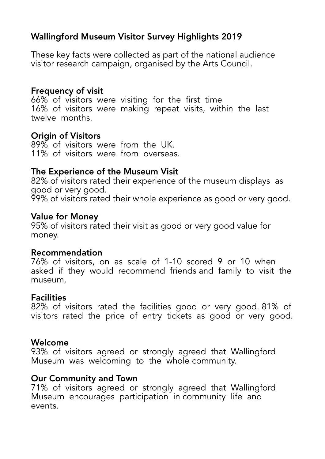# Wallingford Museum Visitor Survey Highlights 2019

These key facts were collected as part of the national audience visitor research campaign, organised by the Arts Council.

## Frequency of visit

66% of visitors were visiting for the first time 16% of visitors were making repeat visits, within the last twelve months.

## Origin of Visitors

89% of visitors were from the UK. 11% of visitors were from overseas.

# The Experience of the Museum Visit

82% of visitors rated their experience of the museum displays as good or very good. 99% of visitors rated their whole experience as good or very good.

## Value for Money

95% of visitors rated their visit as good or very good value for money.

## Recommendation

76% of visitors, on as scale of 1-10 scored 9 or 10 when asked if they would recommend friends and family to visit the museum.

## **Facilities**

82% of visitors rated the facilities good or very good. 81% of visitors rated the price of entry tickets as good or very good.

## Welcome

93% of visitors agreed or strongly agreed that Wallingford Museum was welcoming to the whole community.

# Our Community and Town

71% of visitors agreed or strongly agreed that Wallingford Museum encourages participation in community life and events.